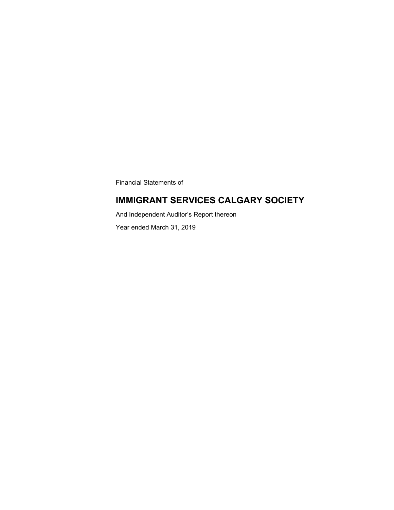Financial Statements of

### **IMMIGRANT SERVICES CALGARY SOCIETY**

And Independent Auditor's Report thereon

Year ended March 31, 2019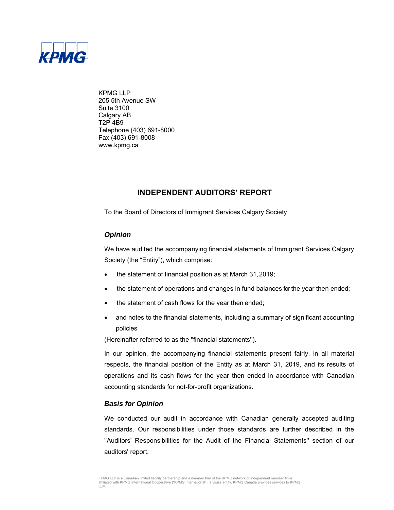

KPMG LLP 205 5th Avenue SW Suite 3100 Calgary AB T2P 4B9 Telephone (403) 691-8000 Fax (403) 691-8008 www.kpmg.ca

### **INDEPENDENT AUDITORS' REPORT**

To the Board of Directors of Immigrant Services Calgary Society

#### *Opinion*

We have audited the accompanying financial statements of Immigrant Services Calgary Society (the "Entity"), which comprise:

- the statement of financial position as at March 31, 2019;
- the statement of operations and changes in fund balances for the year then ended;
- the statement of cash flows for the year then ended;
- and notes to the financial statements, including a summary of significant accounting policies

(Hereinafter referred to as the ''financial statements'').

In our opinion, the accompanying financial statements present fairly, in all material respects, the financial position of the Entity as at March 31, 2019, and its results of operations and its cash flows for the year then ended in accordance with Canadian accounting standards for not-for-profit organizations.

#### *Basis for Opinion*

We conducted our audit in accordance with Canadian generally accepted auditing standards. Our responsibilities under those standards are further described in the ''Auditors' Responsibilities for the Audit of the Financial Statements'' section of our auditors' report.

KPMG LLP is a Canadian limited liability partnership and a member firm of the KPMG network of independent member firms affiliated with KPMG International Cooperative ("KPMG International"), a Swiss entity. KPMG Canada provides services to KPMG LLP.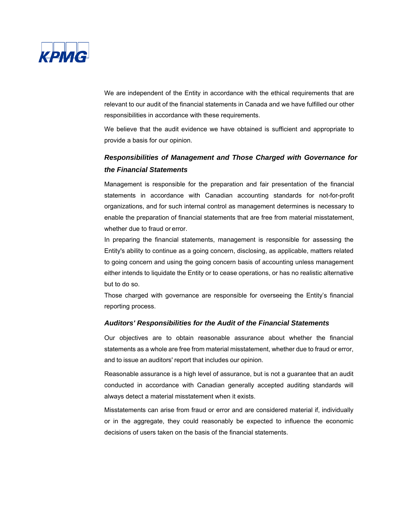

We are independent of the Entity in accordance with the ethical requirements that are relevant to our audit of the financial statements in Canada and we have fulfilled our other responsibilities in accordance with these requirements.

We believe that the audit evidence we have obtained is sufficient and appropriate to provide a basis for our opinion.

### *Responsibilities of Management and Those Charged with Governance for the Financial Statements*

Management is responsible for the preparation and fair presentation of the financial statements in accordance with Canadian accounting standards for not-for-profit organizations, and for such internal control as management determines is necessary to enable the preparation of financial statements that are free from material misstatement, whether due to fraud or error.

In preparing the financial statements, management is responsible for assessing the Entity's ability to continue as a going concern, disclosing, as applicable, matters related to going concern and using the going concern basis of accounting unless management either intends to liquidate the Entity or to cease operations, or has no realistic alternative but to do so.

Those charged with governance are responsible for overseeing the Entity's financial reporting process.

### *Auditors' Responsibilities for the Audit of the Financial Statements*

Our objectives are to obtain reasonable assurance about whether the financial statements as a whole are free from material misstatement, whether due to fraud or error, and to issue an auditors' report that includes our opinion.

Reasonable assurance is a high level of assurance, but is not a guarantee that an audit conducted in accordance with Canadian generally accepted auditing standards will always detect a material misstatement when it exists.

Misstatements can arise from fraud or error and are considered material if, individually or in the aggregate, they could reasonably be expected to influence the economic decisions of users taken on the basis of the financial statements.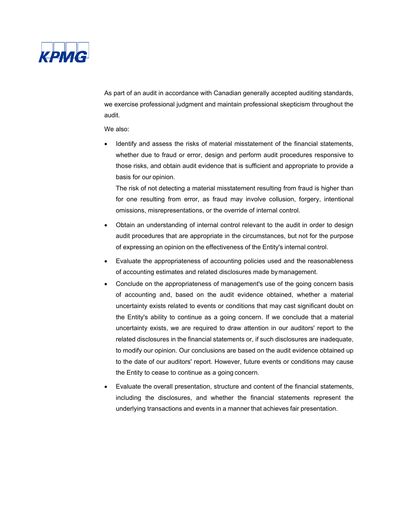

As part of an audit in accordance with Canadian generally accepted auditing standards, we exercise professional judgment and maintain professional skepticism throughout the audit.

We also:

 Identify and assess the risks of material misstatement of the financial statements, whether due to fraud or error, design and perform audit procedures responsive to those risks, and obtain audit evidence that is sufficient and appropriate to provide a basis for our opinion.

The risk of not detecting a material misstatement resulting from fraud is higher than for one resulting from error, as fraud may involve collusion, forgery, intentional omissions, misrepresentations, or the override of internal control.

- Obtain an understanding of internal control relevant to the audit in order to design audit procedures that are appropriate in the circumstances, but not for the purpose of expressing an opinion on the effectiveness of the Entity's internal control.
- Evaluate the appropriateness of accounting policies used and the reasonableness of accounting estimates and related disclosures made by management.
- Conclude on the appropriateness of management's use of the going concern basis of accounting and, based on the audit evidence obtained, whether a material uncertainty exists related to events or conditions that may cast significant doubt on the Entity's ability to continue as a going concern. If we conclude that a material uncertainty exists, we are required to draw attention in our auditors' report to the related disclosures in the financial statements or, if such disclosures are inadequate, to modify our opinion. Our conclusions are based on the audit evidence obtained up to the date of our auditors' report. However, future events or conditions may cause the Entity to cease to continue as a going concern.
- Evaluate the overall presentation, structure and content of the financial statements, including the disclosures, and whether the financial statements represent the underlying transactions and events in a manner that achieves fair presentation.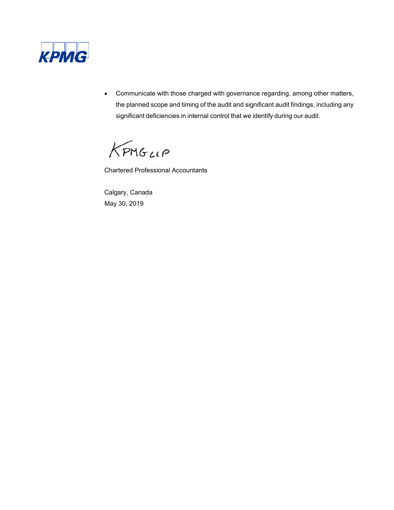

 Communicate with those charged with governance regarding, among other matters, the planned scope and timing of the audit and significant audit findings, including any significant deficiencies in internal control that we identify during our audit.

KPMGLIP

Chartered Professional Accountants

Calgary, Canada May 30, 2019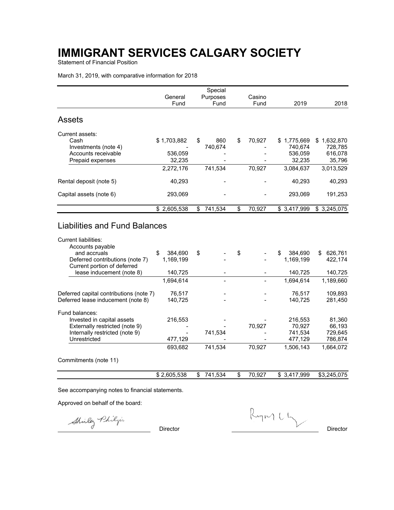Statement of Financial Position

#### March 31, 2019, with comparative information for 2018

|                                                                                             | General<br>Fund            | Special<br>Purposes<br>Fund | Casino<br>Fund | 2019                       | 2018                     |
|---------------------------------------------------------------------------------------------|----------------------------|-----------------------------|----------------|----------------------------|--------------------------|
| <b>Assets</b>                                                                               |                            |                             |                |                            |                          |
| Current assets:                                                                             |                            |                             |                |                            |                          |
| Cash                                                                                        | \$1,703,882                | \$<br>860<br>\$             | 70,927         | 1,775,669                  | \$1,632,870              |
| Investments (note 4)                                                                        |                            | 740,674                     |                | 740,674                    | 728,785                  |
| Accounts receivable                                                                         | 536,059                    |                             |                | 536,059                    | 616,078                  |
| Prepaid expenses                                                                            | 32,235                     |                             |                | 32,235                     | 35,796                   |
|                                                                                             | 2,272,176                  | 741,534                     | 70,927         | 3,084,637                  | 3,013,529                |
| Rental deposit (note 5)                                                                     | 40,293                     |                             |                | 40,293                     | 40,293                   |
| Capital assets (note 6)                                                                     | 293,069                    |                             |                | 293,069                    | 191,253                  |
|                                                                                             | \$2,605,538                | \$<br>741,534<br>\$         | 70,927         | \$3,417,999                | \$3,245,075              |
| Current liabilities:<br>Accounts payable<br>and accruals<br>Deferred contributions (note 7) | \$<br>384,690<br>1,169,199 | \$<br>\$                    |                | \$<br>384,690<br>1,169,199 | 626,761<br>\$<br>422,174 |
| Current portion of deferred<br>lease inducement (note 8)                                    | 140,725                    |                             |                | 140,725                    | 140,725                  |
|                                                                                             | 1.694.614                  |                             |                | 1,694,614                  | 1,189,660                |
| Deferred capital contributions (note 7)                                                     | 76,517                     |                             |                | 76,517                     | 109,893                  |
| Deferred lease inducement (note 8)                                                          | 140,725                    |                             |                | 140,725                    | 281,450                  |
| Fund balances:                                                                              |                            |                             |                |                            |                          |
| Invested in capital assets                                                                  | 216,553                    |                             |                | 216,553                    | 81,360                   |
| Externally restricted (note 9)                                                              |                            |                             | 70,927         | 70,927                     | 66,193                   |
| Internally restricted (note 9)                                                              |                            | 741,534                     |                | 741,534                    | 729,645                  |
| Unrestricted                                                                                | 477,129                    |                             |                | 477,129                    | 786,874                  |
|                                                                                             | 693,682                    | 741,534                     | 70,927         | 1,506,143                  | 1,664,072                |
| Commitments (note 11)                                                                       |                            |                             |                |                            |                          |
|                                                                                             | \$2,605,538                | \$<br>741.534<br>\$         | 70,927         | \$3,417,999                | \$3,245,075              |

See accompanying notes to financial statements.

Approved on behalf of the board:

Striley Philips<br>Director Director Director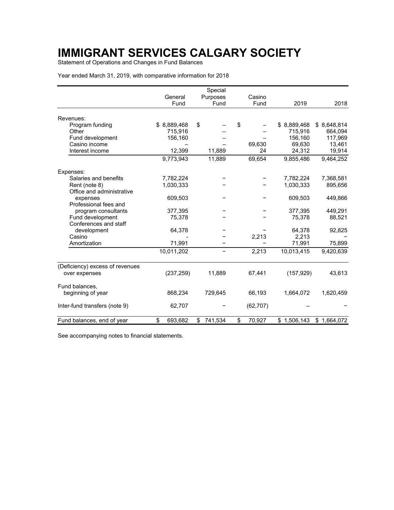Statement of Operations and Changes in Fund Balances

#### Year ended March 31, 2019, with comparative information for 2018

|                                 |               | Special       |              |                 |                           |
|---------------------------------|---------------|---------------|--------------|-----------------|---------------------------|
|                                 | General       | Purposes      | Casino       |                 |                           |
|                                 | Fund          | Fund          | Fund         | 2019            | 2018                      |
| Revenues:                       |               |               |              |                 |                           |
| Program funding                 | \$8,889,468   | \$            | \$           | 8,889,468<br>\$ | \$8,648,814               |
| Other                           | 715.916       |               |              | 715.916         | 664,094                   |
| Fund development                | 156,160       |               |              | 156,160         | 117,969                   |
| Casino income                   |               |               | 69,630       | 69,630          | 13,461                    |
| Interest income                 | 12,399        | 11,889        | 24           | 24,312          | 19,914                    |
|                                 | 9,773,943     | 11,889        | 69,654       | 9,855,486       | 9,464,252                 |
| Expenses:                       |               |               |              |                 |                           |
| Salaries and benefits           | 7,782,224     |               |              | 7,782,224       | 7,368,581                 |
| Rent (note 8)                   | 1,030,333     |               |              | 1,030,333       | 895,656                   |
| Office and administrative       |               |               |              |                 |                           |
| expenses                        | 609,503       |               |              | 609,503         | 449,866                   |
| Professional fees and           |               |               |              |                 |                           |
| program consultants             | 377,395       |               |              | 377,395         | 449,291                   |
| Fund development                | 75,378        |               |              | 75,378          | 88,521                    |
| Conferences and staff           |               |               |              |                 |                           |
| development                     | 64,378        |               |              | 64,378          | 92,825                    |
| Casino                          |               |               | 2,213        | 2,213           |                           |
| Amortization                    | 71,991        |               |              | 71,991          | 75,899                    |
|                                 | 10,011,202    |               | 2,213        | 10,013,415      | 9,420,639                 |
| (Deficiency) excess of revenues |               |               |              |                 |                           |
| over expenses                   | (237, 259)    | 11,889        | 67,441       | (157, 929)      | 43,613                    |
| Fund balances,                  |               |               |              |                 |                           |
| beginning of year               | 868,234       | 729,645       | 66,193       | 1,664,072       | 1,620,459                 |
| Inter-fund transfers (note 9)   | 62,707        |               | (62, 707)    |                 |                           |
| Fund balances, end of year      | \$<br>693,682 | \$<br>741,534 | \$<br>70,927 | \$1,506,143     | $\mathbb{S}$<br>1,664,072 |

See accompanying notes to financial statements.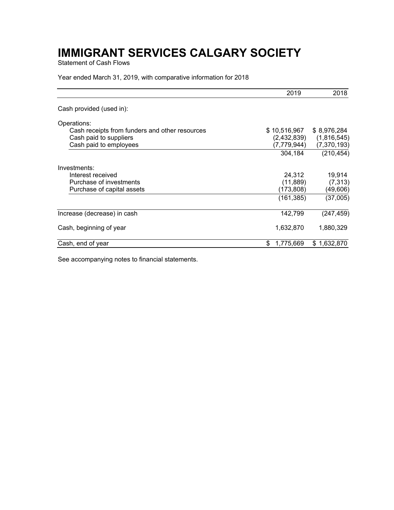Statement of Cash Flows

Year ended March 31, 2019, with comparative information for 2018

|                                                | 2019            | 2018          |
|------------------------------------------------|-----------------|---------------|
| Cash provided (used in):                       |                 |               |
| Operations:                                    |                 |               |
| Cash receipts from funders and other resources | \$ 10,516,967   | \$8,976,284   |
| Cash paid to suppliers                         | (2,432,839)     | (1,816,545)   |
| Cash paid to employees                         | (7,779,944)     | (7, 370, 193) |
|                                                | 304,184         | (210, 454)    |
| Investments:                                   |                 |               |
| Interest received                              | 24,312          | 19,914        |
| Purchase of investments                        | (11, 889)       | (7, 313)      |
| Purchase of capital assets                     | (173,808)       | (49,606)      |
|                                                | (161, 385)      | (37,005)      |
| Increase (decrease) in cash                    | 142,799         | (247, 459)    |
| Cash, beginning of year                        | 1,632,870       | 1,880,329     |
| Cash, end of year                              | 1,775,669<br>\$ | \$1,632,870   |
|                                                |                 |               |

See accompanying notes to financial statements.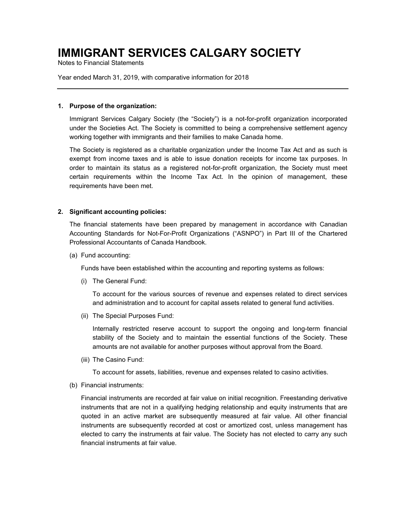Notes to Financial Statements

Year ended March 31, 2019, with comparative information for 2018

#### **1. Purpose of the organization:**

Immigrant Services Calgary Society (the "Society") is a not-for-profit organization incorporated under the Societies Act. The Society is committed to being a comprehensive settlement agency working together with immigrants and their families to make Canada home.

The Society is registered as a charitable organization under the Income Tax Act and as such is exempt from income taxes and is able to issue donation receipts for income tax purposes. In order to maintain its status as a registered not-for-profit organization, the Society must meet certain requirements within the Income Tax Act. In the opinion of management, these requirements have been met.

#### **2. Significant accounting policies:**

The financial statements have been prepared by management in accordance with Canadian Accounting Standards for Not-For-Profit Organizations ("ASNPO") in Part III of the Chartered Professional Accountants of Canada Handbook.

(a) Fund accounting:

Funds have been established within the accounting and reporting systems as follows:

(i) The General Fund:

To account for the various sources of revenue and expenses related to direct services and administration and to account for capital assets related to general fund activities.

(ii) The Special Purposes Fund:

Internally restricted reserve account to support the ongoing and long-term financial stability of the Society and to maintain the essential functions of the Society. These amounts are not available for another purposes without approval from the Board.

(iii) The Casino Fund:

To account for assets, liabilities, revenue and expenses related to casino activities.

(b) Financial instruments:

Financial instruments are recorded at fair value on initial recognition. Freestanding derivative instruments that are not in a qualifying hedging relationship and equity instruments that are quoted in an active market are subsequently measured at fair value. All other financial instruments are subsequently recorded at cost or amortized cost, unless management has elected to carry the instruments at fair value. The Society has not elected to carry any such financial instruments at fair value.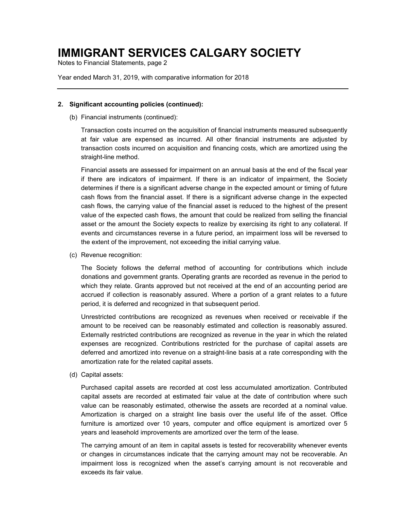Notes to Financial Statements, page 2

Year ended March 31, 2019, with comparative information for 2018

#### **2. Significant accounting policies (continued):**

(b) Financial instruments (continued):

Transaction costs incurred on the acquisition of financial instruments measured subsequently at fair value are expensed as incurred. All other financial instruments are adjusted by transaction costs incurred on acquisition and financing costs, which are amortized using the straight-line method.

Financial assets are assessed for impairment on an annual basis at the end of the fiscal year if there are indicators of impairment. If there is an indicator of impairment, the Society determines if there is a significant adverse change in the expected amount or timing of future cash flows from the financial asset. If there is a significant adverse change in the expected cash flows, the carrying value of the financial asset is reduced to the highest of the present value of the expected cash flows, the amount that could be realized from selling the financial asset or the amount the Society expects to realize by exercising its right to any collateral. If events and circumstances reverse in a future period, an impairment loss will be reversed to the extent of the improvement, not exceeding the initial carrying value.

(c) Revenue recognition:

The Society follows the deferral method of accounting for contributions which include donations and government grants. Operating grants are recorded as revenue in the period to which they relate. Grants approved but not received at the end of an accounting period are accrued if collection is reasonably assured. Where a portion of a grant relates to a future period, it is deferred and recognized in that subsequent period.

Unrestricted contributions are recognized as revenues when received or receivable if the amount to be received can be reasonably estimated and collection is reasonably assured. Externally restricted contributions are recognized as revenue in the year in which the related expenses are recognized. Contributions restricted for the purchase of capital assets are deferred and amortized into revenue on a straight-line basis at a rate corresponding with the amortization rate for the related capital assets.

(d) Capital assets:

Purchased capital assets are recorded at cost less accumulated amortization. Contributed capital assets are recorded at estimated fair value at the date of contribution where such value can be reasonably estimated, otherwise the assets are recorded at a nominal value. Amortization is charged on a straight line basis over the useful life of the asset. Office furniture is amortized over 10 years, computer and office equipment is amortized over 5 years and leasehold improvements are amortized over the term of the lease.

The carrying amount of an item in capital assets is tested for recoverability whenever events or changes in circumstances indicate that the carrying amount may not be recoverable. An impairment loss is recognized when the asset's carrying amount is not recoverable and exceeds its fair value.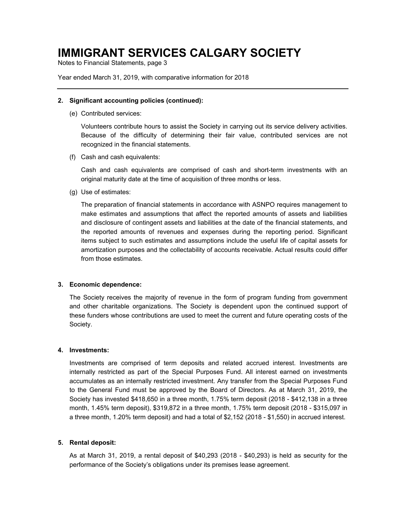Notes to Financial Statements, page 3

Year ended March 31, 2019, with comparative information for 2018

#### **2. Significant accounting policies (continued):**

(e) Contributed services:

Volunteers contribute hours to assist the Society in carrying out its service delivery activities. Because of the difficulty of determining their fair value, contributed services are not recognized in the financial statements.

(f) Cash and cash equivalents:

Cash and cash equivalents are comprised of cash and short-term investments with an original maturity date at the time of acquisition of three months or less.

(g) Use of estimates:

The preparation of financial statements in accordance with ASNPO requires management to make estimates and assumptions that affect the reported amounts of assets and liabilities and disclosure of contingent assets and liabilities at the date of the financial statements, and the reported amounts of revenues and expenses during the reporting period. Significant items subject to such estimates and assumptions include the useful life of capital assets for amortization purposes and the collectability of accounts receivable. Actual results could differ from those estimates.

#### **3. Economic dependence:**

The Society receives the majority of revenue in the form of program funding from government and other charitable organizations. The Society is dependent upon the continued support of these funders whose contributions are used to meet the current and future operating costs of the Society.

#### **4. Investments:**

Investments are comprised of term deposits and related accrued interest. Investments are internally restricted as part of the Special Purposes Fund. All interest earned on investments accumulates as an internally restricted investment. Any transfer from the Special Purposes Fund to the General Fund must be approved by the Board of Directors. As at March 31, 2019, the Society has invested \$418,650 in a three month, 1.75% term deposit (2018 - \$412,138 in a three month, 1.45% term deposit), \$319,872 in a three month, 1.75% term deposit (2018 - \$315,097 in a three month, 1.20% term deposit) and had a total of \$2,152 (2018 - \$1,550) in accrued interest.

### **5. Rental deposit:**

As at March 31, 2019, a rental deposit of \$40,293 (2018 - \$40,293) is held as security for the performance of the Society's obligations under its premises lease agreement.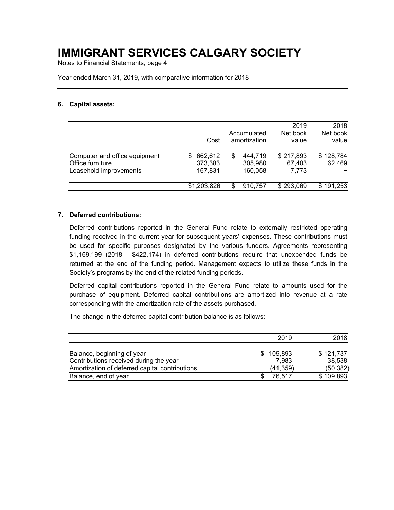Notes to Financial Statements, page 4

Year ended March 31, 2019, with comparative information for 2018

#### **6. Capital assets:**

|                                                                             | Cost                               | Accumulated<br>amortization         | 2019<br>Net book<br>value    | 2018<br>Net book<br>value |
|-----------------------------------------------------------------------------|------------------------------------|-------------------------------------|------------------------------|---------------------------|
| Computer and office equipment<br>Office furniture<br>Leasehold improvements | 662,612<br>S<br>373,383<br>167,831 | 444.719<br>\$<br>305,980<br>160,058 | \$217,893<br>67,403<br>7,773 | \$128,784<br>62,469       |
|                                                                             | \$1,203,826                        | 910,757<br>\$                       | \$293,069                    | \$191,253                 |

#### **7. Deferred contributions:**

Deferred contributions reported in the General Fund relate to externally restricted operating funding received in the current year for subsequent years' expenses. These contributions must be used for specific purposes designated by the various funders. Agreements representing \$1,169,199 (2018 - \$422,174) in deferred contributions require that unexpended funds be returned at the end of the funding period. Management expects to utilize these funds in the Society's programs by the end of the related funding periods.

Deferred capital contributions reported in the General Fund relate to amounts used for the purchase of equipment. Deferred capital contributions are amortized into revenue at a rate corresponding with the amortization rate of the assets purchased.

The change in the deferred capital contribution balance is as follows:

|                                                                                                                        | 2019                           | 2018                             |
|------------------------------------------------------------------------------------------------------------------------|--------------------------------|----------------------------------|
| Balance, beginning of year<br>Contributions received during the year<br>Amortization of deferred capital contributions | \$109,893<br>7.983<br>(41,359) | \$121,737<br>38,538<br>(50, 382) |
| Balance, end of year                                                                                                   | 76.517                         | \$109,893                        |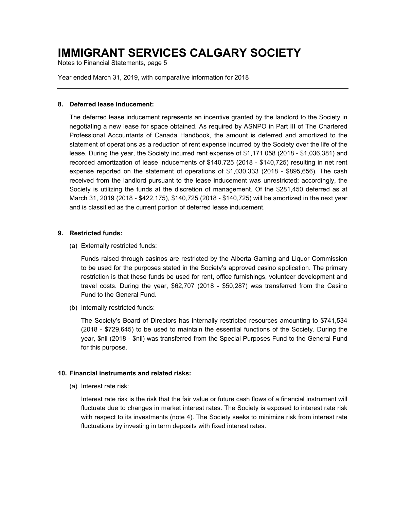Notes to Financial Statements, page 5

Year ended March 31, 2019, with comparative information for 2018

#### **8. Deferred lease inducement:**

The deferred lease inducement represents an incentive granted by the landlord to the Society in negotiating a new lease for space obtained. As required by ASNPO in Part III of The Chartered Professional Accountants of Canada Handbook, the amount is deferred and amortized to the statement of operations as a reduction of rent expense incurred by the Society over the life of the lease. During the year, the Society incurred rent expense of \$1,171,058 (2018 - \$1,036,381) and recorded amortization of lease inducements of \$140,725 (2018 - \$140,725) resulting in net rent expense reported on the statement of operations of \$1,030,333 (2018 - \$895,656). The cash received from the landlord pursuant to the lease inducement was unrestricted; accordingly, the Society is utilizing the funds at the discretion of management. Of the \$281,450 deferred as at March 31, 2019 (2018 - \$422,175), \$140,725 (2018 - \$140,725) will be amortized in the next year and is classified as the current portion of deferred lease inducement.

#### **9. Restricted funds:**

(a) Externally restricted funds:

Funds raised through casinos are restricted by the Alberta Gaming and Liquor Commission to be used for the purposes stated in the Society's approved casino application. The primary restriction is that these funds be used for rent, office furnishings, volunteer development and travel costs. During the year, \$62,707 (2018 - \$50,287) was transferred from the Casino Fund to the General Fund.

(b) Internally restricted funds:

The Society's Board of Directors has internally restricted resources amounting to \$741,534 (2018 - \$729,645) to be used to maintain the essential functions of the Society. During the year, \$nil (2018 - \$nil) was transferred from the Special Purposes Fund to the General Fund for this purpose.

### **10. Financial instruments and related risks:**

(a) Interest rate risk:

Interest rate risk is the risk that the fair value or future cash flows of a financial instrument will fluctuate due to changes in market interest rates. The Society is exposed to interest rate risk with respect to its investments (note 4). The Society seeks to minimize risk from interest rate fluctuations by investing in term deposits with fixed interest rates.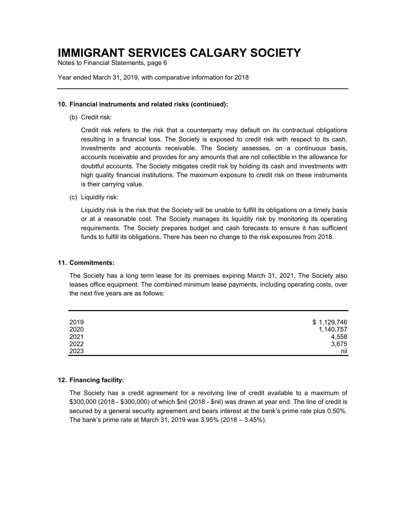Notes to Financial Statements, page 6

Year ended March 31, 2019, with comparative information for 2018

#### **10. Financial instruments and related risks (continued):**

(b) Credit risk:

Credit risk refers to the risk that a counterparty may default on its contractual obligations resulting in a financial loss. The Society is exposed to credit risk with respect to its cash, investments and accounts receivable. The Society assesses, on a continuous basis, accounts receivable and provides for any amounts that are not collectible in the allowance for doubtful accounts. The Society mitigates credit risk by holding its cash and investments with high quality financial institutions. The maximum exposure to credit risk on these instruments is their carrying value.

(c) Liquidity risk:

Liquidity risk is the risk that the Society will be unable to fulfill its obligations on a timely basis or at a reasonable cost. The Society manages its liquidity risk by monitoring its operating requirements. The Society prepares budget and cash forecasts to ensure it has sufficient funds to fulfill its obligations. There has been no change to the risk exposures from 2018.

#### **11. Commitments:**

The Society has a long term lease for its premises expiring March 31, 2021. The Society also leases office equipment. The combined minimum lease payments, including operating costs, over the next five years are as follows:

| 2019 | \$1,129,746 |
|------|-------------|
| 2020 | 1,140,757   |
| 2021 | 4,558       |
| 2022 | 3,675       |
| 2023 | nil         |

### **12. Financing facility:**

The Society has a credit agreement for a revolving line of credit available to a maximum of \$300,000 (2018 - \$300,000) of which \$nil (2018 - \$nil) was drawn at year end. The line of credit is secured by a general security agreement and bears interest at the bank's prime rate plus 0.50%. The bank's prime rate at March 31, 2019 was 3.95% (2018 – 3.45%).